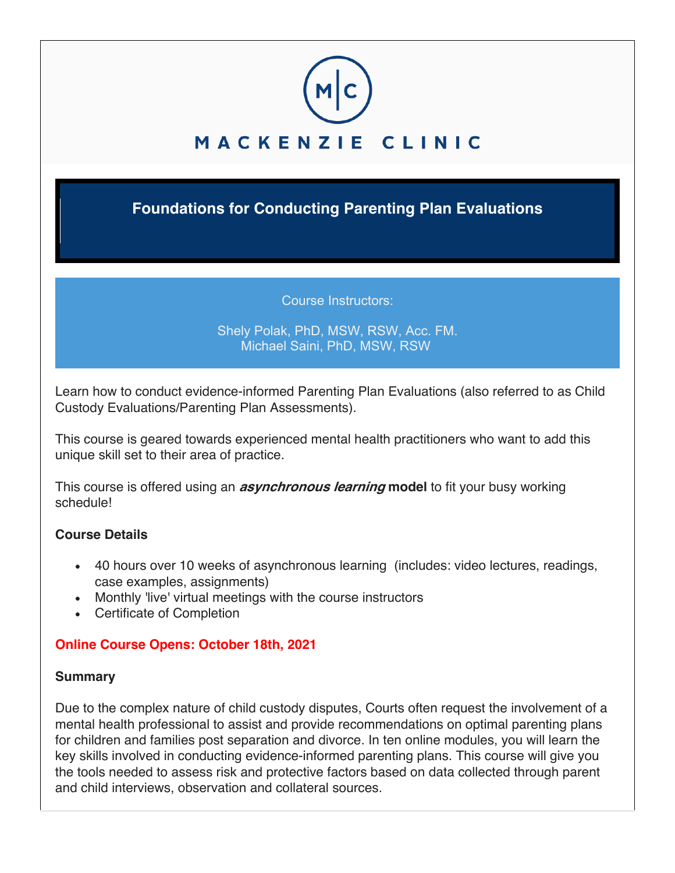

**Foundations for Conducting Parenting Plan Evaluations**

Course Instructors:

### Shely Polak, PhD, MSW, RSW, Acc. FM. Michael Saini, PhD, MSW, RSW

Learn how to conduct evidence-informed Parenting Plan Evaluations (also referred to as Child Custody Evaluations/Parenting Plan Assessments).

This course is geared towards experienced mental health practitioners who want to add this unique skill set to their area of practice.

This course is offered using an **asynchronous learning model** to fit your busy working schedule!

## **Course Details**

- 40 hours over 10 weeks of asynchronous learning (includes: video lectures, readings, case examples, assignments)
- Monthly 'live' virtual meetings with the course instructors
- Certificate of Completion

# **Online Course Opens: October 18th, 2021**

## **Summary**

Due to the complex nature of child custody disputes, Courts often request the involvement of a mental health professional to assist and provide recommendations on optimal parenting plans for children and families post separation and divorce. In ten online modules, you will learn the key skills involved in conducting evidence-informed parenting plans. This course will give you the tools needed to assess risk and protective factors based on data collected through parent and child interviews, observation and collateral sources.